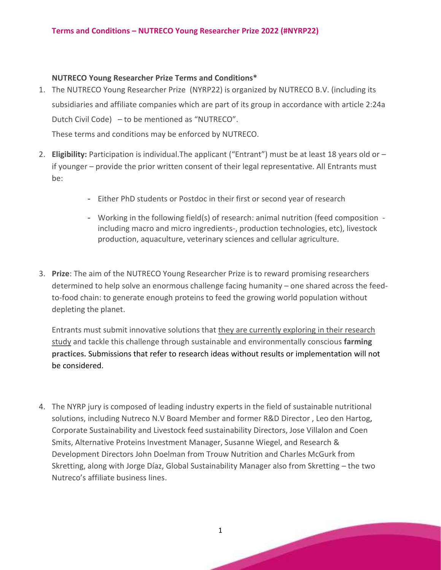## **NUTRECO Young Researcher Prize Terms and Conditions\***

- 1. The NUTRECO Young Researcher Prize (NYRP22) is organized by NUTRECO B.V. (including its subsidiaries and affiliate companies which are part of its group in accordance with article 2:24a Dutch Civil Code) – to be mentioned as "NUTRECO". These terms and conditions may be enforced by NUTRECO.
- 2. **Eligibility:** Participation is individual.The applicant ("Entrant") must be at least 18 years old or if younger – provide the prior written consent of their legal representative. All Entrants must be:
	- Either PhD students or Postdoc in their first or second year of research
	- Working in the following field(s) of research: animal nutrition (feed composition including macro and micro ingredients-, production technologies, etc), livestock production, aquaculture, veterinary sciences and cellular agriculture.
- 3. **Prize**: The aim of the NUTRECO Young Researcher Prize is to reward promising researchers determined to help solve an enormous challenge facing humanity – one shared across the feedto-food chain: to generate enough proteins to feed the growing world population without depleting the planet.

Entrants must submit innovative solutions that they are currently exploring in their research study and tackle this challenge through sustainable and environmentally conscious **farming practices.** Submissions that refer to research ideas without results or implementation will not be considered.

4. The NYRP jury is composed of leading industry experts in the field of sustainable nutritional solutions, including Nutreco N.V Board Member and former R&D Director , Leo den Hartog, Corporate Sustainability and Livestock feed sustainability Directors, Jose Villalon and Coen Smits, Alternative Proteins Investment Manager, Susanne Wiegel, and Research & Development Directors John Doelman from Trouw Nutrition and Charles McGurk from Skretting, along with Jorge Díaz, Global Sustainability Manager also from Skretting – the two Nutreco's affiliate business lines.

1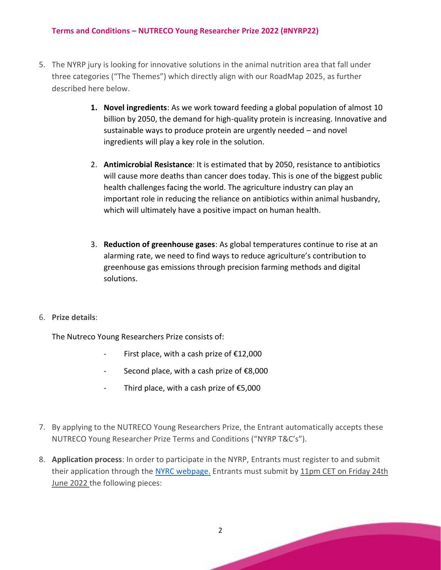- 5. The NYRP jury is looking for innovative solutions in the animal nutrition area that fall under three categories ("The Themes") which directly align with our RoadMap 2025, as further described here below.
	- **1. Novel ingredients**: As we work toward feeding a global population of almost 10 billion by 2050, the demand for high-quality protein is increasing. Innovative and sustainable ways to produce protein are urgently needed – and novel ingredients will play a key role in the solution.
	- 2. **Antimicrobial Resistance**: It is estimated that by 2050, resistance to antibiotics will cause more deaths than cancer does today. This is one of the biggest public health challenges facing the world. The agriculture industry can play an important role in reducing the reliance on antibiotics within animal husbandry, which will ultimately have a positive impact on human health.
	- 3. **Reduction of greenhouse gases**: As global temperatures continue to rise at an alarming rate, we need to find ways to reduce agriculture's contribution to greenhouse gas emissions through precision farming methods and digital solutions.
- 6. **Prize details**:

The Nutreco Young Researchers Prize consists of:

- First place, with a cash prize of €12,000
- Second place, with a cash prize of  $£8,000$
- Third place, with a cash prize of €5,000
- 7. By applying to the NUTRECO Young Researchers Prize, the Entrant automatically accepts these NUTRECO Young Researcher Prize Terms and Conditions ("NYRP T&C's").
- 8. **Application process**: In order to participate in the NYRP, Entrants must register to and submit their application through the [NYRC webpage.](https://www.nutreco.com/en/innovation-and-investments/competition-yrp/) Entrants must submit by 11pm CET on Friday 24th June 2022 the following pieces:

2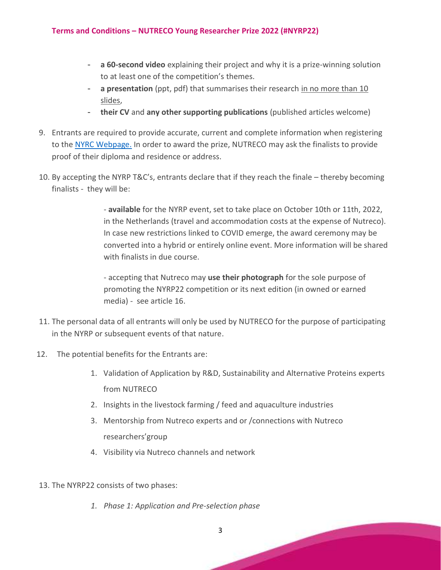- **a 60-second video** explaining their project and why it is a prize-winning solution to at least one of the competition's themes.
- **a presentation** (ppt, pdf) that summarises their research in no more than 10 slides,
- **their CV** and **any other supporting publications** (published articles welcome)
- 9. Entrants are required to provide accurate, current and complete information when registering to the [NYRC Webpage.](https://www.nutreco.com/en/innovation-and-investments/competition-yrp/) In order to award the prize, NUTRECO may ask the finalists to provide proof of their diploma and residence or address.
- 10. By accepting the NYRP T&C's, entrants declare that if they reach the finale thereby becoming finalists - they will be:

- **available** for the NYRP event, set to take place on October 10th or 11th, 2022, in the Netherlands (travel and accommodation costs at the expense of Nutreco). In case new restrictions linked to COVID emerge, the award ceremony may be converted into a hybrid or entirely online event. More information will be shared with finalists in due course.

- accepting that Nutreco may **use their photograph** for the sole purpose of promoting the NYRP22 competition or its next edition (in owned or earned media) - see article 16.

- 11. The personal data of all entrants will only be used by NUTRECO for the purpose of participating in the NYRP or subsequent events of that nature.
- 12. The potential benefits for the Entrants are:
	- 1. Validation of Application by R&D, Sustainability and Alternative Proteins experts from NUTRECO
	- 2. Insights in the livestock farming / feed and aquaculture industries
	- 3. Mentorship from Nutreco experts and or /connections with Nutreco researchers'group
	- 4. Visibility via Nutreco channels and network
- 13. The NYRP22 consists of two phases:
	- *1. Phase 1: Application and Pre-selection phase*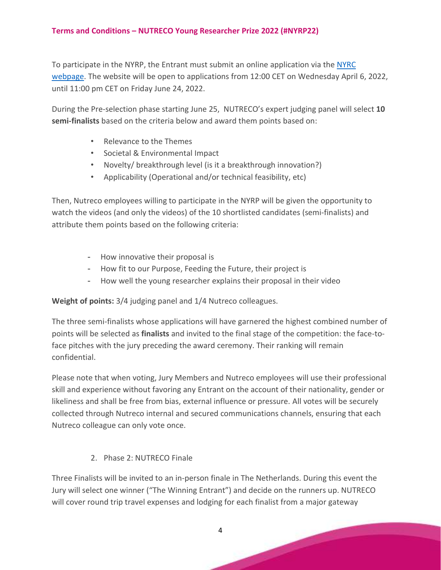To participate in the NYRP, the Entrant must submit an online application via the [NYRC](https://www.nutreco.com/en/innovation-and-investments/competition-yrp/)  [webpage.](https://www.nutreco.com/en/innovation-and-investments/competition-yrp/) The website will be open to applications from 12:00 CET on Wednesday April 6, 2022, until 11:00 pm CET on Friday June 24, 2022.

During the Pre-selection phase starting June 25, NUTRECO's expert judging panel will select **10 semi-finalists** based on the criteria below and award them points based on:

- Relevance to the Themes
- Societal & Environmental Impact
- Novelty/ breakthrough level (is it a breakthrough innovation?)
- Applicability (Operational and/or technical feasibility, etc)

Then, Nutreco employees willing to participate in the NYRP will be given the opportunity to watch the videos (and only the videos) of the 10 shortlisted candidates (semi-finalists) and attribute them points based on the following criteria:

- How innovative their proposal is
- How fit to our Purpose, Feeding the Future, their project is
- How well the young researcher explains their proposal in their video

**Weight of points:** 3/4 judging panel and 1/4 Nutreco colleagues.

The three semi-finalists whose applications will have garnered the highest combined number of points will be selected as **finalists** and invited to the final stage of the competition: the face-toface pitches with the jury preceding the award ceremony. Their ranking will remain confidential.

Please note that when voting, Jury Members and Nutreco employees will use their professional skill and experience without favoring any Entrant on the account of their nationality, gender or likeliness and shall be free from bias, external influence or pressure. All votes will be securely collected through Nutreco internal and secured communications channels, ensuring that each Nutreco colleague can only vote once.

2. Phase 2: NUTRECO Finale

Three Finalists will be invited to an in-person finale in The Netherlands. During this event the Jury will select one winner ("The Winning Entrant") and decide on the runners up. NUTRECO will cover round trip travel expenses and lodging for each finalist from a major gateway

4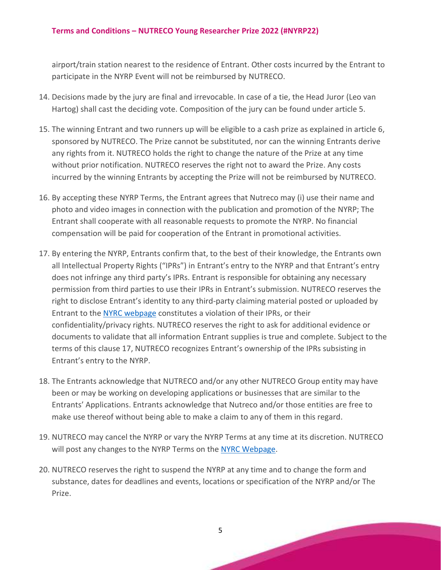airport/train station nearest to the residence of Entrant. Other costs incurred by the Entrant to participate in the NYRP Event will not be reimbursed by NUTRECO.

- 14. Decisions made by the jury are final and irrevocable. In case of a tie, the Head Juror (Leo van Hartog) shall cast the deciding vote. Composition of the jury can be found under article 5.
- 15. The winning Entrant and two runners up will be eligible to a cash prize as explained in article 6, sponsored by NUTRECO. The Prize cannot be substituted, nor can the winning Entrants derive any rights from it. NUTRECO holds the right to change the nature of the Prize at any time without prior notification. NUTRECO reserves the right not to award the Prize. Any costs incurred by the winning Entrants by accepting the Prize will not be reimbursed by NUTRECO.
- 16. By accepting these NYRP Terms, the Entrant agrees that Nutreco may (i) use their name and photo and video images in connection with the publication and promotion of the NYRP; The Entrant shall cooperate with all reasonable requests to promote the NYRP. No financial compensation will be paid for cooperation of the Entrant in promotional activities.
- 17. By entering the NYRP, Entrants confirm that, to the best of their knowledge, the Entrants own all Intellectual Property Rights ("IPRs") in Entrant's entry to the NYRP and that Entrant's entry does not infringe any third party's IPRs. Entrant is responsible for obtaining any necessary permission from third parties to use their IPRs in Entrant's submission. NUTRECO reserves the right to disclose Entrant's identity to any third-party claiming material posted or uploaded by Entrant to the [NYRC webpage](https://www.nutreco.com/en/innovation-and-investments/competition-yrp/) constitutes a violation of their IPRs, or their confidentiality/privacy rights. NUTRECO reserves the right to ask for additional evidence or documents to validate that all information Entrant supplies is true and complete. Subject to the terms of this clause 17, NUTRECO recognizes Entrant's ownership of the IPRs subsisting in Entrant's entry to the NYRP.
- 18. The Entrants acknowledge that NUTRECO and/or any other NUTRECO Group entity may have been or may be working on developing applications or businesses that are similar to the Entrants' Applications. Entrants acknowledge that Nutreco and/or those entities are free to make use thereof without being able to make a claim to any of them in this regard.
- 19. NUTRECO may cancel the NYRP or vary the NYRP Terms at any time at its discretion. NUTRECO will post any changes to the NYRP Terms on the [NYRC Webpage.](https://www.nutreco.com/en/innovation-and-investments/competition-yrp/)
- 20. NUTRECO reserves the right to suspend the NYRP at any time and to change the form and substance, dates for deadlines and events, locations or specification of the NYRP and/or The Prize.

5